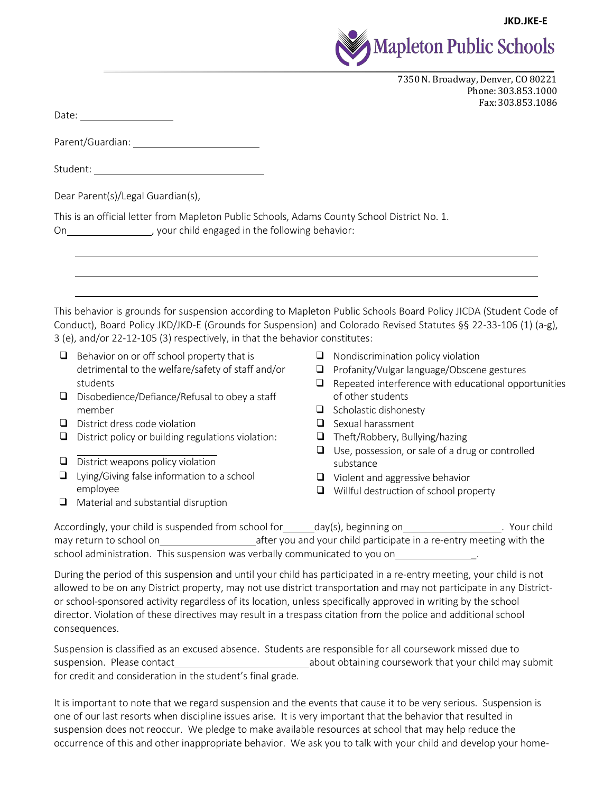



7350 N. Broadway, Denver, CO 80221 Phone:303.853.1000 Fax:303.853.1086

Date: when the contract of the contract of the contract of the contract of the contract of the contract of the contract of the contract of the contract of the contract of the contract of the contract of the contract of the

Parent/Guardian:

Student:

| Dear Parent(s)/Legal Guardian(s), |
|-----------------------------------|
|-----------------------------------|

This is an official letter from Mapleton Public Schools, Adams County School District No. 1. On on the system of the following behavior:

This behavior is grounds for suspension according to Mapleton Public Schools Board Policy JICDA (Student Code of Conduct), Board Policy JKD/JKD-E (Grounds for Suspension) and Colorado Revised Statutes §§ 22-33-106 (1) (a-g), 3 (e), and/or 22-12-105 (3) respectively, in that the behavior constitutes:

- $\Box$  Behavior on or off school property that is detrimental to the welfare/safety of staff and/or students
- ❑ Disobedience/Defiance/Refusal to obey a staff member
- ❑ District dress code violation
- ❑ District policy or building regulations violation:
- ❑ District weapons policy violation
- ❑ Lying/Giving false information to a school employee
- ❑ Material and substantial disruption
- ❑ Nondiscrimination policy violation
- ❑ Profanity/Vulgar language/Obscene gestures
- ❑ Repeated interference with educational opportunities of other students
- ❑ Scholastic dishonesty
- ❑ Sexual harassment
- ❑ Theft/Robbery, Bullying/hazing
- ❑ Use, possession, or sale of a drug or controlled substance
- ❑ Violent and aggressive behavior
- ❑ Willful destruction of school property

Accordingly, your child is suspended from school for day(s), beginning on . Your child may return to school on and you and your child participate in a re-entry meeting with the school administration. This suspension was verbally communicated to you on \_.

During the period of this suspension and until your child has participated in a re-entry meeting, your child is not allowed to be on any District property, may not use district transportation and may not participate in any Districtor school-sponsored activity regardless of its location, unless specifically approved in writing by the school director. Violation of these directives may result in a trespass citation from the police and additional school consequences.

Suspension is classified as an excused absence. Students are responsible for all coursework missed due to suspension. Please contact about obtaining coursework that your child may submit for credit and consideration in the student's final grade.

It is important to note that we regard suspension and the events that cause it to be very serious. Suspension is one of our last resorts when discipline issues arise. It is very important that the behavior that resulted in suspension does not reoccur. We pledge to make available resources at school that may help reduce the occurrence of this and other inappropriate behavior. We ask you to talk with your child and develop your home